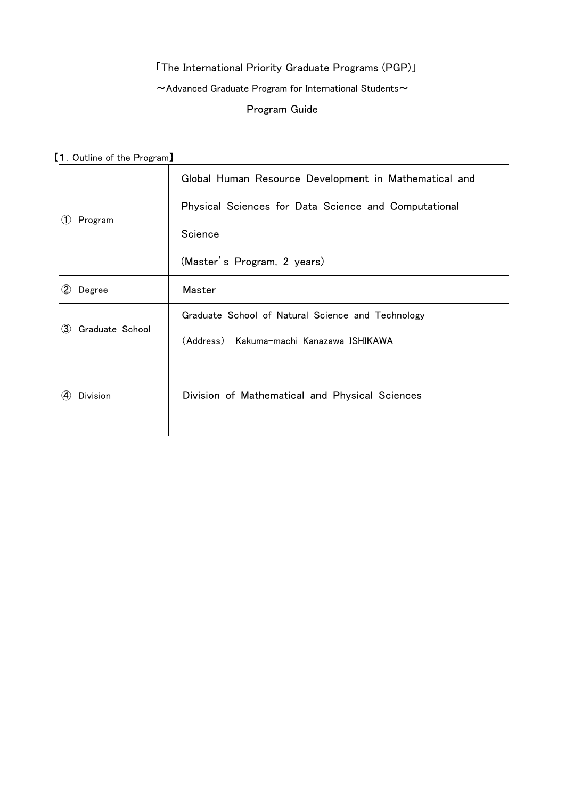# 「The International Priority Graduate Programs (PGP)」  $\sim$  Advanced Graduate Program for International Students $\sim$ Program Guide

【1.Outline of the Program】

| Program<br>(1)         | Global Human Resource Development in Mathematical and |
|------------------------|-------------------------------------------------------|
|                        | Physical Sciences for Data Science and Computational  |
|                        | Science                                               |
|                        | (Master's Program, 2 years)                           |
| $\bf(2)$<br>Degree     | Master                                                |
| Graduate School<br>(3) | Graduate School of Natural Science and Technology     |
|                        | (Address) Kakuma-machi Kanazawa ISHIKAWA              |
| Division<br>(4)        | Division of Mathematical and Physical Sciences        |